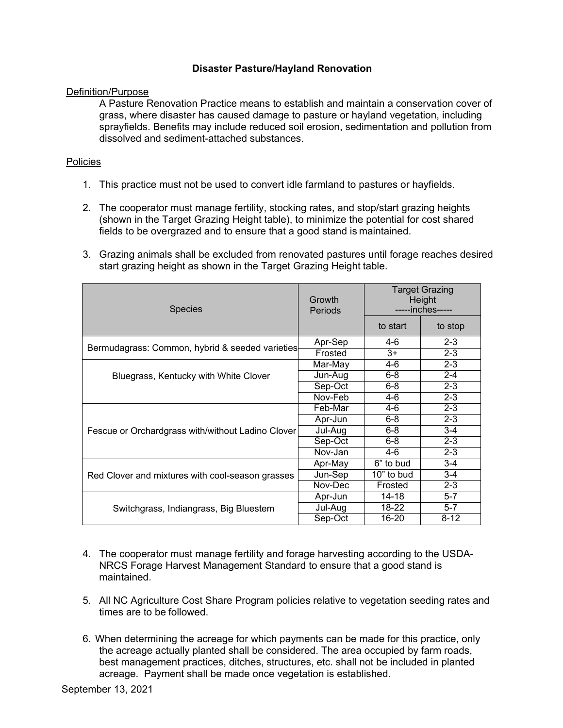## **Disaster Pasture/Hayland Renovation**

## Definition/Purpose

A Pasture Renovation Practice means to establish and maintain a conservation cover of grass, where disaster has caused damage to pasture or hayland vegetation, including sprayfields. Benefits may include reduced soil erosion, sedimentation and pollution from dissolved and sediment-attached substances.

## Policies

- 1. This practice must not be used to convert idle farmland to pastures or hayfields.
- 2. The cooperator must manage fertility, stocking rates, and stop/start grazing heights (shown in the Target Grazing Height table), to minimize the potential for cost shared fields to be overgrazed and to ensure that a good stand is maintained.
- 3. Grazing animals shall be excluded from renovated pastures until forage reaches desired start grazing height as shown in the Target Grazing Height table.

| <b>Species</b>                                    | Growth<br>Periods | <b>Target Grazing</b><br>Height<br>-----inches----- |          |
|---------------------------------------------------|-------------------|-----------------------------------------------------|----------|
|                                                   |                   | to start                                            | to stop  |
|                                                   | Apr-Sep           | 4-6                                                 | $2 - 3$  |
| Bermudagrass: Common, hybrid & seeded varieties   | Frosted           | $3+$                                                | $2 - 3$  |
|                                                   | Mar-May           | 4-6                                                 | $2 - 3$  |
| Bluegrass, Kentucky with White Clover             | Jun-Aug           | $6 - 8$                                             | $2 - 4$  |
|                                                   | Sep-Oct           | $6 - 8$                                             | $2 - 3$  |
|                                                   | Nov-Feb           | 4-6                                                 | $2 - 3$  |
|                                                   | Feb-Mar           | 4-6                                                 | $2 - 3$  |
|                                                   | Apr-Jun           | $6 - 8$                                             | $2 - 3$  |
| Fescue or Orchardgrass with/without Ladino Clover | Jul-Aug           | $6 - 8$                                             | $3 - 4$  |
|                                                   | Sep-Oct           | 6-8                                                 | $2 - 3$  |
|                                                   | Nov-Jan           | 4-6                                                 | $2 - 3$  |
| Red Clover and mixtures with cool-season grasses  | Apr-May           | 6" to bud                                           | $3 - 4$  |
|                                                   | Jun-Sep           | 10" to bud                                          | $3 - 4$  |
|                                                   | Nov-Dec           | Frosted                                             | $2 - 3$  |
|                                                   | Apr-Jun           | 14-18                                               | $5 - 7$  |
| Switchgrass, Indiangrass, Big Bluestem            | Jul-Aug           | $18-22$                                             | $5 - 7$  |
|                                                   | Sep-Oct           | 16-20                                               | $8 - 12$ |

- 4. The cooperator must manage fertility and forage harvesting according to the USDA-NRCS Forage Harvest Management Standard to ensure that a good stand is maintained.
- 5. All NC Agriculture Cost Share Program policies relative to vegetation seeding rates and times are to be followed.
- 6. When determining the acreage for which payments can be made for this practice, only the acreage actually planted shall be considered. The area occupied by farm roads, best management practices, ditches, structures, etc. shall not be included in planted acreage. Payment shall be made once vegetation is established.